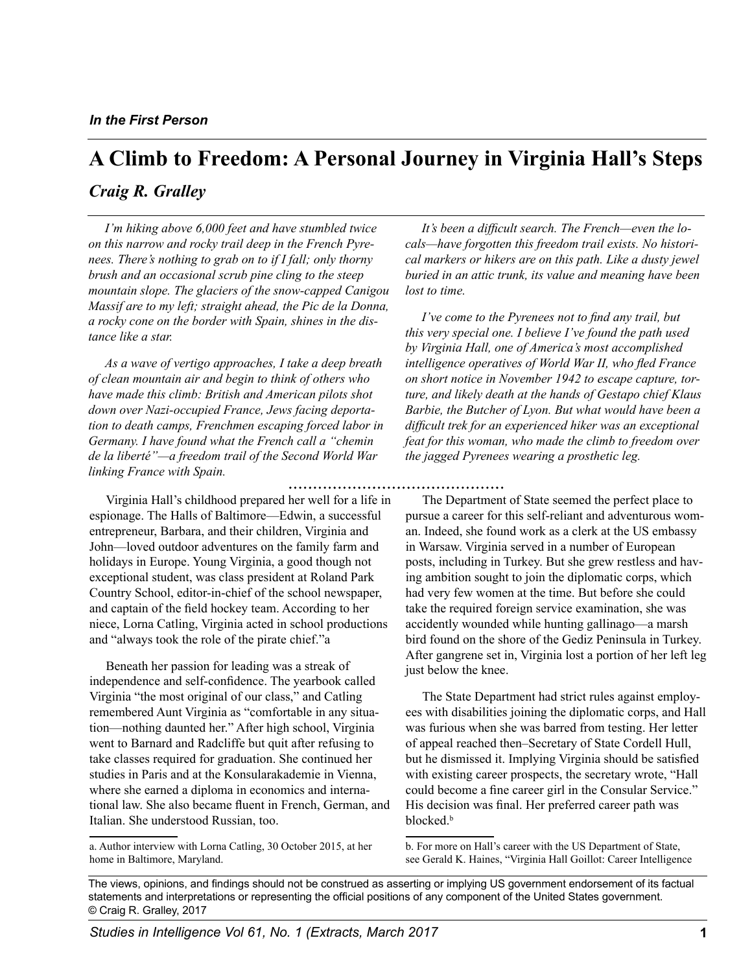# **A Climb to Freedom: A Personal Journey in Virginia Hall's Steps**

## *Craig R. Gralley*

*I'm hiking above 6,000 feet and have stumbled twice on this narrow and rocky trail deep in the French Pyrenees. There's nothing to grab on to if I fall; only thorny brush and an occasional scrub pine cling to the steep mountain slope. The glaciers of the snow-capped Canigou Massif are to my left; straight ahead, the Pic de la Donna, a rocky cone on the border with Spain, shines in the distance like a star.* 

*As a wave of vertigo approaches, I take a deep breath of clean mountain air and begin to think of others who have made this climb: British and American pilots shot down over Nazi-occupied France, Jews facing deportation to death camps, Frenchmen escaping forced labor in Germany. I have found what the French call a "chemin de la liberté"—a freedom trail of the Second World War linking France with Spain.* 

Virginia Hall's childhood prepared her well for a life in espionage. The Halls of Baltimore—Edwin, a successful entrepreneur, Barbara, and their children, Virginia and John—loved outdoor adventures on the family farm and holidays in Europe. Young Virginia, a good though not exceptional student, was class president at Roland Park Country School, editor-in-chief of the school newspaper, and captain of the field hockey team. According to her niece, Lorna Catling, Virginia acted in school productions and "always took the role of the pirate chief."a

Beneath her passion for leading was a streak of independence and self-confidence. The yearbook called Virginia "the most original of our class," and Catling remembered Aunt Virginia as "comfortable in any situation—nothing daunted her." After high school, Virginia went to Barnard and Radcliffe but quit after refusing to take classes required for graduation. She continued her studies in Paris and at the Konsularakademie in Vienna, where she earned a diploma in economics and international law. She also became fluent in French, German, and Italian. She understood Russian, too.

a. Author interview with Lorna Catling, 30 October 2015, at her home in Baltimore, Maryland.

*It's been a difficult search. The French—even the locals—have forgotten this freedom trail exists. No historical markers or hikers are on this path. Like a dusty jewel buried in an attic trunk, its value and meaning have been lost to time.* 

*I've come to the Pyrenees not to find any trail, but this very special one. I believe I've found the path used by Virginia Hall, one of America's most accomplished intelligence operatives of World War II, who fled France on short notice in November 1942 to escape capture, torture, and likely death at the hands of Gestapo chief Klaus Barbie, the Butcher of Lyon. But what would have been a difficult trek for an experienced hiker was an exceptional feat for this woman, who made the climb to freedom over the jagged Pyrenees wearing a prosthetic leg.* 

The Department of State seemed the perfect place to pursue a career for this self-reliant and adventurous woman. Indeed, she found work as a clerk at the US embassy in Warsaw. Virginia served in a number of European posts, including in Turkey. But she grew restless and having ambition sought to join the diplomatic corps, which had very few women at the time. But before she could take the required foreign service examination, she was accidently wounded while hunting gallinago—a marsh bird found on the shore of the Gediz Peninsula in Turkey. After gangrene set in, Virginia lost a portion of her left leg just below the knee.

The State Department had strict rules against employees with disabilities joining the diplomatic corps, and Hall was furious when she was barred from testing. Her letter of appeal reached then–Secretary of State Cordell Hull, but he dismissed it. Implying Virginia should be satisfied with existing career prospects, the secretary wrote, "Hall could become a fine career girl in the Consular Service." His decision was final. Her preferred career path was blocked.<sup>b</sup>

b. For more on Hall's career with the US Department of State, see Gerald K. Haines, "Virginia Hall Goillot: Career Intelligence

The views, opinions, and findings should not be construed as asserting or implying US government endorsement of its factual statements and interpretations or representing the official positions of any component of the United States government. © Craig R. Gralley, 2017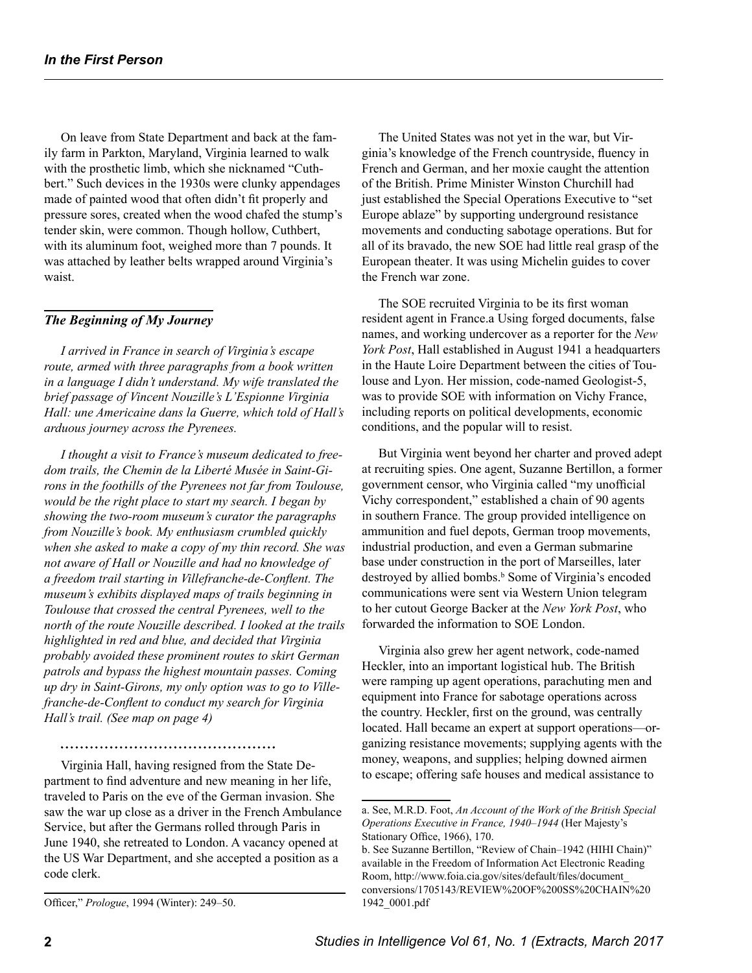On leave from State Department and back at the family farm in Parkton, Maryland, Virginia learned to walk with the prosthetic limb, which she nicknamed "Cuthbert." Such devices in the 1930s were clunky appendages made of painted wood that often didn't fit properly and pressure sores, created when the wood chafed the stump's tender skin, were common. Though hollow, Cuthbert, with its aluminum foot, weighed more than 7 pounds. It was attached by leather belts wrapped around Virginia's waist.

#### *The Beginning of My Journey*

*I arrived in France in search of Virginia's escape route, armed with three paragraphs from a book written in a language I didn't understand. My wife translated the brief passage of Vincent Nouzille's L'Espionne Virginia Hall: une Americaine dans la Guerre, which told of Hall's arduous journey across the Pyrenees.* 

*I thought a visit to France's museum dedicated to freedom trails, the Chemin de la Liberté Musée in Saint-Girons in the foothills of the Pyrenees not far from Toulouse, would be the right place to start my search. I began by showing the two-room museum's curator the paragraphs from Nouzille's book. My enthusiasm crumbled quickly when she asked to make a copy of my thin record. She was not aware of Hall or Nouzille and had no knowledge of a freedom trail starting in Villefranche-de-Conflent. The museum's exhibits displayed maps of trails beginning in Toulouse that crossed the central Pyrenees, well to the north of the route Nouzille described. I looked at the trails highlighted in red and blue, and decided that Virginia probably avoided these prominent routes to skirt German patrols and bypass the highest mountain passes. Coming up dry in Saint-Girons, my only option was to go to Villefranche-de-Conflent to conduct my search for Virginia Hall's trail. (See map on page 4)* 

Virginia Hall, having resigned from the State Department to find adventure and new meaning in her life, traveled to Paris on the eve of the German invasion. She saw the war up close as a driver in the French Ambulance Service, but after the Germans rolled through Paris in June 1940, she retreated to London. A vacancy opened at the US War Department, and she accepted a position as a code clerk.

The United States was not yet in the war, but Virginia's knowledge of the French countryside, fluency in French and German, and her moxie caught the attention of the British. Prime Minister Winston Churchill had just established the Special Operations Executive to "set Europe ablaze" by supporting underground resistance movements and conducting sabotage operations. But for all of its bravado, the new SOE had little real grasp of the European theater. It was using Michelin guides to cover the French war zone.

The SOE recruited Virginia to be its first woman resident agent in France.a Using forged documents, false names, and working undercover as a reporter for the *New York Post*, Hall established in August 1941 a headquarters in the Haute Loire Department between the cities of Toulouse and Lyon. Her mission, code-named Geologist-5, was to provide SOE with information on Vichy France, including reports on political developments, economic conditions, and the popular will to resist.

But Virginia went beyond her charter and proved adept at recruiting spies. One agent, Suzanne Bertillon, a former government censor, who Virginia called "my unofficial Vichy correspondent," established a chain of 90 agents in southern France. The group provided intelligence on ammunition and fuel depots, German troop movements, industrial production, and even a German submarine base under construction in the port of Marseilles, later destroyed by allied bombs.<sup>b</sup> Some of Virginia's encoded communications were sent via Western Union telegram to her cutout George Backer at the *New York Post*, who forwarded the information to SOE London.

Virginia also grew her agent network, code-named Heckler, into an important logistical hub. The British were ramping up agent operations, parachuting men and equipment into France for sabotage operations across the country. Heckler, first on the ground, was centrally located. Hall became an expert at support operations—organizing resistance movements; supplying agents with the money, weapons, and supplies; helping downed airmen to escape; offering safe houses and medical assistance to

Officer," *Prologue*, 1994 (Winter): 249–50.

a. See, M.R.D. Foot, *An Account of the Work of the British Special Operations Executive in France, 1940–1944* (Her Majesty's Stationary Office, 1966), 170.

b. See Suzanne Bertillon, "Review of Chain–1942 (HIHI Chain)" available in the Freedom of Information Act Electronic Reading Room, http://www.foia.cia.gov/sites/default/files/document\_ conversions/1705143/REVIEW%20OF%200SS%20CHAIN%20 1942\_0001.pdf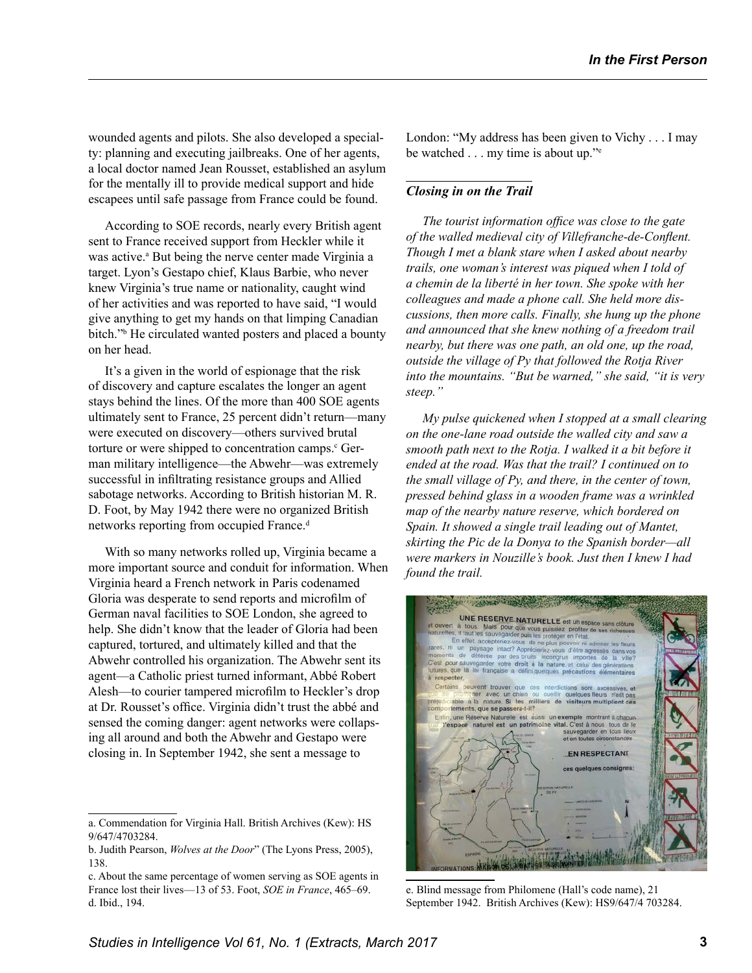wounded agents and pilots. She also developed a specialty: planning and executing jailbreaks. One of her agents, a local doctor named Jean Rousset, established an asylum for the mentally ill to provide medical support and hide escapees until safe passage from France could be found.

According to SOE records, nearly every British agent sent to France received support from Heckler while it was active.<sup>a</sup> But being the nerve center made Virginia a target. Lyon's Gestapo chief, Klaus Barbie, who never knew Virginia's true name or nationality, caught wind of her activities and was reported to have said, "I would give anything to get my hands on that limping Canadian bitch." He circulated wanted posters and placed a bounty on her head.

It's a given in the world of espionage that the risk of discovery and capture escalates the longer an agent stays behind the lines. Of the more than 400 SOE agents ultimately sent to France, 25 percent didn't return—many were executed on discovery—others survived brutal torture or were shipped to concentration camps.<sup>c</sup> German military intelligence—the Abwehr—was extremely successful in infiltrating resistance groups and Allied sabotage networks. According to British historian M. R. D. Foot, by May 1942 there were no organized British networks reporting from occupied France.<sup>d</sup>

With so many networks rolled up, Virginia became a more important source and conduit for information. When Virginia heard a French network in Paris codenamed Gloria was desperate to send reports and microfilm of German naval facilities to SOE London, she agreed to help. She didn't know that the leader of Gloria had been captured, tortured, and ultimately killed and that the Abwehr controlled his organization. The Abwehr sent its agent—a Catholic priest turned informant, Abbé Robert Alesh—to courier tampered microfilm to Heckler's drop at Dr. Rousset's office. Virginia didn't trust the abbé and sensed the coming danger: agent networks were collapsing all around and both the Abwehr and Gestapo were closing in. In September 1942, she sent a message to

London: "My address has been given to Vichy . . . I may be watched . . . my time is about up."<sup>e</sup>

### *Closing in on the Trail*

*The tourist information office was close to the gate of the walled medieval city of Villefranche-de-Conflent. Though I met a blank stare when I asked about nearby trails, one woman's interest was piqued when I told of a chemin de la liberté in her town. She spoke with her colleagues and made a phone call. She held more discussions, then more calls. Finally, she hung up the phone and announced that she knew nothing of a freedom trail nearby, but there was one path, an old one, up the road, outside the village of Py that followed the Rotja River into the mountains. "But be warned," she said, "it is very steep."* 

*My pulse quickened when I stopped at a small clearing on the one-lane road outside the walled city and saw a smooth path next to the Rotja. I walked it a bit before it ended at the road. Was that the trail? I continued on to the small village of Py, and there, in the center of town, pressed behind glass in a wooden frame was a wrinkled map of the nearby nature reserve, which bordered on Spain. It showed a single trail leading out of Mantet, skirting the Pic de la Donya to the Spanish border—all were markers in Nouzille's book. Just then I knew I had found the trail.* 

**UNE RESERVE NATURELLE** est un esp **State The CONFIDENTIAL Exhibition of the Section School of the Section School of the Section School of the Section School of the Section School of the Section School of the plus power in admirer to the section of the Publ** En effet, accepteriez.w est pour sauvegarder votre droit à la nati es que la loi francaise int trouver que ces interdict<br>r avec un chien ou cueillir<br>nature. Si les milliers de ctions sont excessives, e<br>quelques fleurs n'est pa<br>visiteurs multiplient ce tements, que se passera-t-il? serve Naturelle est aussi un exemple montrant à chacun<br>rimoine vital. C'est à nous tous de le naturel est un patrimoine der en tous lieu: sauvegarder en f **EN RESPECTANT** 

e. Blind message from Philomene (Hall's code name), 21 September 1942. British Archives (Kew): HS9/647/4 703284.

a. Commendation for Virginia Hall. British Archives (Kew): HS 9/647/4703284.

b. Judith Pearson, *Wolves at the Door*" (The Lyons Press, 2005), 138.

c. About the same percentage of women serving as SOE agents in France lost their lives—13 of 53. Foot, *SOE in France*, 465–69. d. Ibid., 194.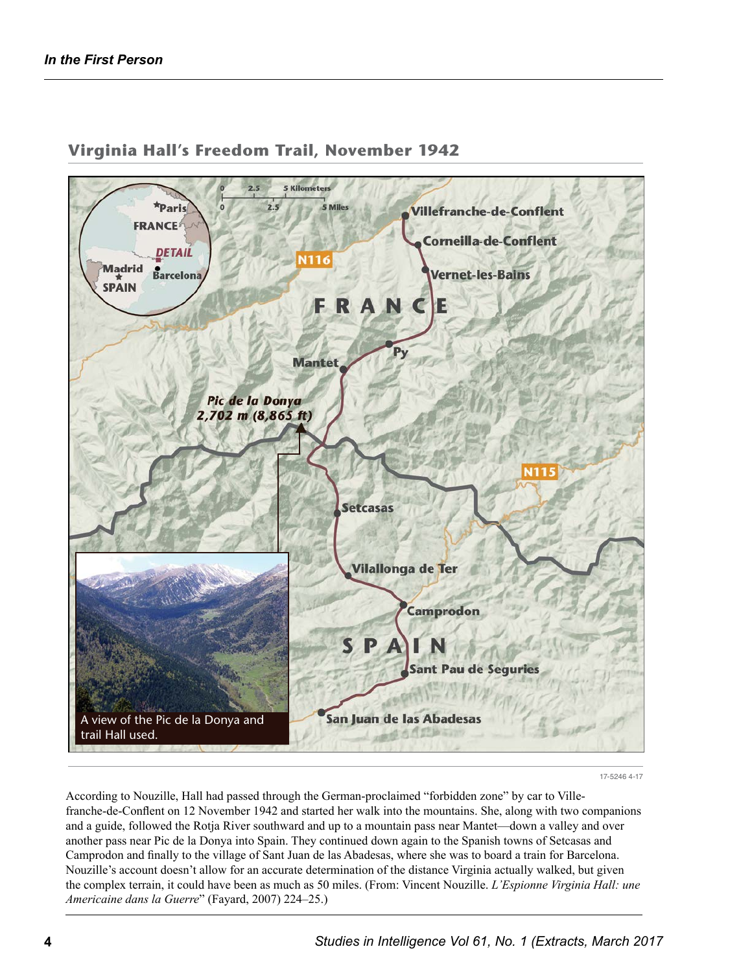

## **Virginia Hall's Freedom Trail, November 1942**

17-5246 4-17

According to Nouzille, Hall had passed through the German-proclaimed "forbidden zone" by car to Villefranche-de-Conflent on 12 November 1942 and started her walk into the mountains. She, along with two companions and a guide, followed the Rotja River southward and up to a mountain pass near Mantet—down a valley and over another pass near Pic de la Donya into Spain. They continued down again to the Spanish towns of Setcasas and Camprodon and finally to the village of Sant Juan de las Abadesas, where she was to board a train for Barcelona. Nouzille's account doesn't allow for an accurate determination of the distance Virginia actually walked, but given the complex terrain, it could have been as much as 50 miles. (From: Vincent Nouzille. *L'Espionne Virginia Hall: une Americaine dans la Guerre*" (Fayard, 2007) 224–25.)